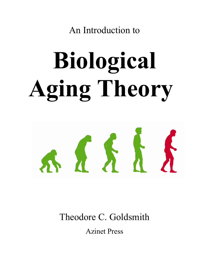An Introduction to

# **Biological Aging Theory**



Theodore C. Goldsmith

Azinet Press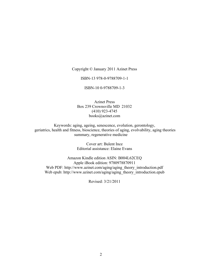Copyright © January 2011 Azinet Press

ISBN-13 978-0-9788709-1-1

ISBN-10 0-9788709-1-3

Azinet Press Box 239 Crownsville MD 21032 (410) 923-4745 books@azinet.com

Keywords: aging, ageing, senescence, evolution, gerontology, geriatrics, health and fitness, bioscience, theories of aging, evolvability, aging theories summary, regenerative medicine

> Cover art: Bulent Ince Editorial assistance: Elaine Evans

Amazon Kindle edition ASIN: B004L62CEQ Apple iBook edition: 9780978870911 Web PDF: [http://www.azinet.com/aging/aging\\_theory\\_introduction.pdf](http://www.azinet.com/aging/aging_theory_introduction.pdf)  Web epub: http://www.azinet.com/aging/aging\_theory\_introduction.epub

Revised: 3/21/2011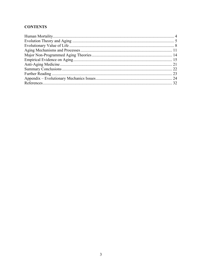## **CONTENTS**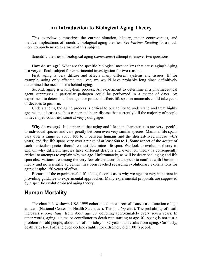## **An Introduction to Biological Aging Theory**

<span id="page-3-0"></span>This overview summarizes the current situation, history, major controversies, and medical implications of scientific biological aging theories. See *Further Reading* for a much more comprehensive treatment of this subject.

Scientific theories of biological aging (*senescence*) attempt to answer two questions:

**How do we age?** What are the specific biological mechanisms that cause aging? Aging is a very difficult subject for experimental investigation for two reasons:

First, aging is very diffuse and affects many different systems and tissues. If, for example, aging only affected the liver, we would have probably long since definitively determined the mechanisms behind aging.

Second, aging is a long-term process. An experiment to determine if a pharmaceutical agent suppresses a particular pathogen could be performed in a matter of days. An experiment to determine if an agent or protocol affects life span in mammals could take years or decades to perform.

Understanding the aging process is critical to our ability to understand and treat highly age-related diseases such as cancer and heart disease that currently kill the majority of people in developed countries, some at very young ages.

**Why do we age?** It is apparent that aging and life span characteristics are very specific to individual species and vary greatly between even very similar species. Mammal life spans vary over a range of about 100 to 1 between humans and the shortest-lived mouse  $(-0.8)$ years) and fish life spans vary over a range of at least 600 to 1. Some aspect of the *design* of each particular species therefore must determine life span. We look to evolution theory to explain why different species have different designs and evolution theory is consequently critical to attempts to explain why we age. Unfortunately, as will be described, aging and life span observations are among the very few observations that appear to conflict with Darwin's theory and no scientific agreement has been reached regarding evolutionary explanations for aging despite 150 years of effort.

Because of the experimental difficulties, theories as to why we age are very important in providing guidance to experimental approaches. Many experimental proposals are suggested by a specific evolution-based aging theory.

## **Human Mortality**

The chart below shows USA 1999 cohort death rates from all causes as a function of age at death (National Center for Health Statistics<sup>[1](#page-31-1)</sup>). This is a *log* chart. The probability of death increases *exponentially* from about age 30, doubling approximately every seven years. In other words, aging is a major contributor to death rate starting at age 30. Aging is not just a problem for old people; about half of mortality in 37-year-olds results from aging. Curiously, death rates level off and even decline slightly for extremely old (100+) people.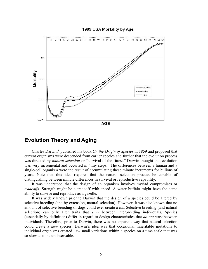<span id="page-4-0"></span>

#### 1999 USA Mortality by Age

## **Evolution Theory and Aging**

Charles Darwin<sup>[2](#page-31-2)</sup> published his book *On the Origin of Species* in 1859 and proposed that current organisms were descended from earlier species and further that the evolution process was directed by *natural selection* or "survival of the fittest." Darwin thought that evolution was very incremental and occurred in "tiny steps." The differences between a human and a single-cell organism were the result of accumulating these minute increments for billions of years. Note that this idea requires that the natural selection process be capable of distinguishing between minute differences in survival or reproductive capability.

It was understood that the design of an organism involves myriad compromises or *tradeoffs*. Strength might be a tradeoff with speed. A water buffalo might have the same ability to survive and reproduce as a gazelle.

It was widely known prior to Darwin that the design of a species could be altered by selective breeding (and by extension, natural selection). However, it was also known that no amount of selective breeding of dogs could ever create a cat. Selective breeding (and natural selection) can only alter traits that *vary* between interbreeding individuals. Species (essentially by definition) differ in regard to design characteristics that *do not vary* between individuals. Therefore, prior to Darwin, there was no apparent way that natural selection could create a *new* species. Darwin's idea was that occasional inheritable mutations to individual organisms created *new* small variations within a species on a time scale that was so slow as to be unobservable.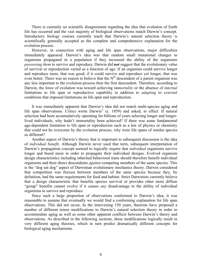There is currently no scientific disagreement regarding the idea that evolution of Earth life has occurred and the vast majority of biological observations match Darwin's concept. Introductory biology courses currently teach that Darwin's natural selection theory is scientifically generally accepted as the complete and comprehensive explanation for the evolution process.

However, in connection with aging and life span observations, major difficulties immediately appeared. Darwin's idea was that random small mutational changes to organisms propagated in a population if they increased the ability of the organisms *possessing them* to survive and reproduce. Darwin did *not* suggest that the evolutionary value of survival or reproduction varied as a function of age. If an organism could survive longer and reproduce more, that was good; if it could survive and reproduce yet longer, that was even better. There was no reason to believe that the  $N<sup>th</sup>$  descendent of a parent organism was any less important to the evolution process then the first descendent. Therefore, according to Darwin, the force of evolution was toward achieving *immortality* or the absence of *internal* limitations to life span or reproductive capability in addition to *adapting* to *external* conditions that imposed limitations on life span and reproduction.

It was immediately apparent that Darwin's idea did not match multi-species aging and life span observations. Critics wrote Darwin<sup>[3](#page-31-2)</sup> (c. 1859) and asked, in effect: If natural selection had been accumulatively operating for billions of years selecting longer and longerlived individuals, why hadn't immortality been achieved? If there was some fundamental age-dependent limitation to life span or reproduction such as a law of physics or chemistry that could not be overcome by the evolution process, why were life spans of similar species so different?

Another aspect of Darwin's theory that is important to subsequent discussion is the idea of *individual benefit*. Although Darwin never used that term, subsequent interpretation of Darwin's propagation concept seemed to logically require that *individual* organisms survive longer and breed more in order to propagate their individual designs. Evolved organism design characteristics including inherited behavioral traits should therefore benefit individual organisms and their direct descendents *against* competing members of the same species. This is the "dog eat dog" aspect of Darwinian evolutionary mechanics theory. Darwin considered that competition was fiercest between members of the same species because they, by definition, had the same requirements for food and habitat. Strict Darwinists currently believe that a design characteristic that benefits species survival or provides other more diffuse "group" benefits cannot evolve if it causes *any* disadvantage to the ability of individual organisms to survive and reproduce.

Since such a large proportion of observations conformed to Darwin's idea, it was reasonable to assume that eventually we would find a conforming explanation for life span observations. This did not occur. In the intervening 150 years, theorists have proposed a number of different minor modifications to Darwin's natural selection theory in order to accommodate aging as well as some other apparent conflicts between Darwin's theory and observations. As described in the following sections, these modifications logically result in very different aging theories, which in turn predict dramatically different concepts for biological aging mechanisms.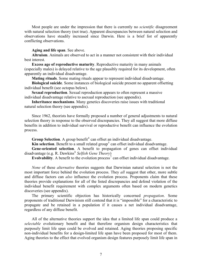Most people are under the impression that there is currently no *scientific* disagreement with natural selection theory (not true). Apparent discrepancies between natural selection and observations have steadily increased since Darwin. Here is a brief list of apparently conflicting observations.

#### **Aging and life span**. See above.

**Altruism**. Animals are observed to act in a manner not consistent with their individual best interest.

**Excess age of reproductive maturity**. Reproductive maturity in many animals (especially males) is delayed relative to the age plausibly required for its development, often apparently an individual disadvantage.

**Mating rituals**. Some mating rituals appear to represent individual disadvantage.

**Biological suicide**. Some instances of biological suicide present no apparent offsetting individual benefit (see octopus below).

**Sexual reproduction**. Sexual reproduction appears to often represent a massive individual disadvantage relative to asexual reproduction (see appendix).

**Inheritance mechanisms**. Many genetics discoveries raise issues with traditional natural selection theory (see appendix).

Since 1962, theorists have formally proposed a number of general adjustments to natural selection theory in response to the observed discrepancies. They all suggest that more diffuse benefits in addition to individual survival or reproductive benefit can influence the evolution process.

**Group Selection**. A group benefit<sup>[4](#page-31-2)</sup> can offset an individual disadvantage.

**Kin selection**. Benefit to a small related group<sup>[5](#page-31-2)</sup> can offset individual disadvantage.

Gene-oriented selection. A benefit to propagation of genes can offset individual disadvantage (e.g. R. Dawkins<sup>[6](#page-31-2)</sup> Selfish Gene Theory)

**Evolvability**. A benefit to the evolution process<sup> $7$ </sup> can offset individual disadvantage.

*None* of these *alternative* theories suggests that Darwinian natural selection is not the most important force behind the evolution process. They *all* suggest that other, more subtle and diffuse factors can *also* influence the evolution process. Proponents claim that these theories provide explanations for all of the listed discrepancies and defend violation of the individual benefit requirement with complex arguments often based on modern genetics discoveries (see appendix).

The primary scientific objection has historically concerned *propagation*. Some proponents of traditional Darwinism still contend that it is "impossible" for a characteristic to propagate and be retained in a population if it causes a net individual disadvantage, regardless of any diffuse benefit.

All of the alternative theories support the idea that a limited life span could produce a *selectable* evolutionary benefit and that therefore organism design characteristics that purposely limit life span could be evolved and retained. Aging theories proposing specific non-individual benefits for a design-limited life span have been proposed for most of them. Aging theories to the effect that evolved organism design features purposely limit life span in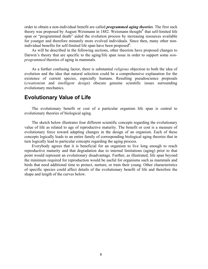<span id="page-7-0"></span>order to obtain a non-individual benefit are called *programmed aging theories*. The first such theory was proposed by August Weismann in 1[8](#page-31-2)82. Weismann thought<sup>8</sup> that self-limited life span or "programmed death" aided the evolution process by increasing resources available for younger and therefore minutely more evolved individuals. Since then, many other nonindividual benefits for self-limited life span have been proposed $6$ .

As will be described in the following sections, other theorists have proposed changes to Darwin's theory that are specific to the aging/life span issue in order to support some *nonprogrammed* theories of aging in mammals.

As a further confusing factor, there is substantial *religious* objection to both the idea of evolution and the idea that natural selection could be a comprehensive explanation for the existence of current species, especially humans. Resulting pseudoscience proposals (*creationism* and *intelligent design*) obscure genuine scientific issues surrounding evolutionary mechanics.

## **Evolutionary Value of Life**

The evolutionary benefit or cost of a particular organism life span is central to evolutionary theories of biological aging.

The sketch below illustrates four different scientific concepts regarding the evolutionary value of life as related to age of reproductive maturity. The benefit or cost is a measure of evolutionary force toward adapting changes in the design of an organism. Each of these concepts logically leads to an entire family of corresponding biological aging theories that in turn logically lead to particular concepts regarding the aging process.

Everybody agrees that it is beneficial for an organism to live long enough to reach reproductive maturity and that degradation due to internal limitations (aging) prior to that point would represent an evolutionary disadvantage. Further, as illustrated, life span beyond the minimum required for reproduction would be useful for organisms such as mammals and birds that need additional time to protect, nurture, or train their young. Other characteristics of specific species could affect details of the evolutionary benefit of life and therefore the shape and length of the curves below.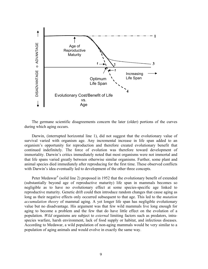

The germane scientific disagreements concern the later (older) portions of the curves during which aging occurs.

Darwin, (interrupted horizontal line 1), did not suggest that the evolutionary value of survival varied with organism age. Any incremental increase in life span added to an organism's opportunity for reproduction and therefore created evolutionary benefit that continued indefinitely. The force of evolution was therefore toward development of immortality. Darwin's critics immediately noted that most organisms were not immortal and that life spans varied greatly between otherwise similar organisms. Further, some plant and animal species died immediately after reproducing for the first time. These observed conflicts with Darwin's idea eventually led to development of the other three concepts.

<span id="page-8-0"></span>Peter Medawar<sup>[9](#page-31-2)</sup> (solid line 2) proposed in 1952 that the evolutionary benefit of extended (substantially beyond age of reproductive maturity) life span in mammals becomes so negligible as to have no evolutionary effect at some species-specific age linked to reproductive maturity. Genetic drift could then introduce random changes that cause aging as long as their negative effects only occurred subsequent to that age. This led to the *mutation accumulation theory* of mammal aging. A yet longer life span has negligible evolutionary value but no disadvantage. His argument was that few wild mammals live long enough for aging to become a problem and the few that do have little effect on the evolution of a population. *Wild* organisms are subject to *external* limiting factors such as predators, intraspecies warfare, harsh environment, lack of food supply or habitat, and infectious diseases. According to Medawar, a wild population of non-aging mammals would be very similar to a population of aging animals and would evolve in exactly the same way.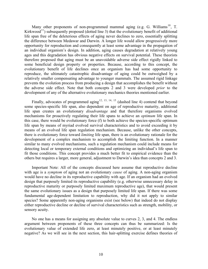<span id="page-9-1"></span><span id="page-9-0"></span>Many other proponents of non-programmed mammal aging (e.g. G. Williams<sup>[10](#page-31-2)</sup>, T. Kirkwood<sup>[11](#page-31-2)</sup>) subsequently proposed (dotted line 3) that the evolutionary benefit of additional life span free of the deleterious effects of aging never declines to zero, essentially splitting the difference between Medawar and Darwin. A longer life would allow progressively more opportunity for reproduction and consequently at least some advantage in the propagation of an individual organism's design. In addition, aging causes degradation at relatively young ages and this degradation has obvious negative effects on survival potential. These theorists therefore proposed that aging must be an unavoidable adverse side effect rigidly linked to some beneficial design property or properties. Because, according to this concept, the evolutionary benefit of life declines once an organism has had some opportunity to reproduce, the ultimately catastrophic disadvantage of aging could be outweighed by a relatively smaller compensating advantage to younger mammals. The assumed rigid linkage prevents the evolution process from producing a design that accomplishes the benefit without the adverse side effect. Note that both concepts 2 and 3 were developed *prior* to the development of any of the alternative evolutionary mechanics theories mentioned earlier.

<span id="page-9-2"></span>Finally, advocates of programmed aging<sup>[12](#page-31-2), [13](#page-31-2), [14](#page-31-2), [15](#page-31-2)</sup> (dashed line 4) contend that beyond some species-specific life span, also dependent on age of reproductive maturity, additional life span creates an evolutionary *disadvantage* and that therefore organisms evolved mechanisms for proactively regulating their life spans to achieve an *optimum* life span. In this case, there would be evolutionary force (f) to both achieve the species-specific optimum life span by means of myriad evolved survival characteristics and to avoid exceeding it by means of an evolved life span regulation mechanism. Because, unlike the other concepts, there is evolutionary force toward *limiting* life span, there is an evolutionary rationale for the development of a complex mechanism to accomplish the limiting function. In a manner similar to many evolved mechanisms, such a regulation mechanism could include means for detecting local or temporary external conditions and optimizing an individual's life span to fit those conditions. This concept provides a much better fit to empirical evidence than the others but requires a larger, more general, adjustment to Darwin's idea than concepts 2 and 3.

Important Note: All of the concepts discussed here assume that reproductive decline with age is a *symptom* of aging not an evolutionary *cause* of aging. A non-aging organism would have no decline in its reproductive capability with age. If an organism had an evolved design that purposely limited its reproductive capability (e.g. otherwise unnecessary delay in reproductive maturity or purposely limited maximum reproductive age), that would present the same evolutionary issues as a design that purposely limited life span. If there was some fundamental age-dependent limitation to reproduction, why did it not apply to similar species? Some apparently non-aging organisms exist (see below) that indeed do not display either reproductive decline or decline of survival characteristics such as strength, mobility, or sensory acuity.

No one has a means for assigning any absolute value to curves 2, 3, and 4. The endless argument between proponents of these three concepts can thus be summarized: Is the evolutionary value of extended life zero, at least minutely positive, or at least minutely negative? As we will see in the next section, this hair-splitting exercise defines theories of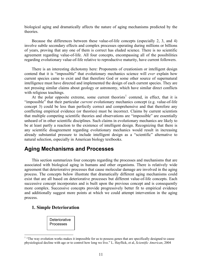<span id="page-10-0"></span>biological aging and dramatically affects the nature of aging mechanisms predicted by the theories.

Because the differences between these value-of-life concepts (especially 2, 3, and 4) involve subtle secondary effects and complex processes operating during millions or billions of years, proving that any one of them is correct has eluded science. There is no scientific agreement regarding value-of-life. All four concepts, encompassing all of the possibilities regarding evolutionary value-of-life relative to reproductive maturity, have current followers.

There is an interesting dichotomy here: Proponents of creationism or intelligent design contend that it is "impossible" that evolutionary mechanics science will *ever* explain how current species came to exist and that therefore God or some other source of supernatural intelligence must have directed and implemented the design of each current species. They are not pressing similar claims about geology or astronomy, which have similar direct conflicts with religious teachings.

At the polar opposite extreme, some current theorists<sup>[1](#page-10-1)</sup> contend, in effect, that it is "impossible" that their particular *current* evolutionary mechanics concept (e.g. value-of-life concept 3) could be less than perfectly correct and comprehensive and that therefore any conflicting empirical evidence (or theories) must be incorrect. Claims by current scientists that multiple competing scientific theories and observations are "impossible" are essentially unheard of in other scientific disciplines. Such claims in evolutionary mechanics are likely to be at least partly a reaction to the existence of intelligent design. Recognizing that there is any scientific disagreement regarding evolutionary mechanics would result in increasing already substantial pressure to include intelligent design as a "scientific" alternative to natural selection, especially in American biology textbooks.

# **Aging Mechanisms and Processes**

This section summarizes four concepts regarding the processes and mechanisms that are associated with biological aging in humans and other organisms. There is relatively wide agreement that deteriorative processes that cause molecular damage are involved in the aging process. The concepts below illustrate that dramatically different aging mechanisms could exist that are all based on deteriorative processes but different value-of-life concepts. Each successive concept incorporates and is built upon the previous concept and is consequently more complex. Successive concepts provide progressively better fit to empirical evidence and additionally suggest more points at which we could attempt intervention in the aging process.

## **1. Simple Deterioration**

 $\overline{a}$ 

**Deteriorative** Processes

<span id="page-10-1"></span><sup>&</sup>lt;sup>1</sup> "The way evolution works makes it impossible for us to possess genes that are specifically designed to cause physiological decline with age or to control how long we live." L. Hayflick, et al, *Scientific American*, 2004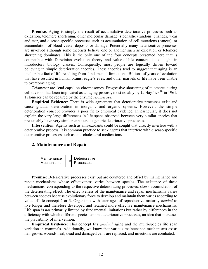**Premise**: Aging is simply the result of accumulative deteriorative processes such as oxidation, telomere shortening, other molecular damage, stochastic (random) changes, wear and tear, and disease-specific processes such as accumulation of cell mutations (cancer), or accumulation of blood vessel deposits or damage. Potentially many deteriorative processes are involved although some theorists believe one or another such as oxidation or telomere shortening dominates. This is the only one of the four concepts presented here that is compatible with Darwinian evolution theory and value-of-life concept 1 as taught in introductory biology classes. Consequently, most people are logically driven toward believing in simple deterioration theories. These theories tend to suggest that aging is an unalterable fact of life resulting from fundamental limitations. Billions of years of evolution that have resulted in human brains, eagle's eyes, and other marvels of life have been unable to overcome aging.

*Telomeres* are "end caps" on chromosomes. Progressive shortening of telomeres during cell division has been implicated as an aging process, most notably by  $\overline{L}$ . Hayflick<sup>[16](#page-31-2)</sup> in 1961. Telomeres can be repaired by the enzyme *telomerase*.

**Empirical Evidence**: There is wide agreement that deteriorative processes exist and cause gradual deterioration in inorganic and organic systems. However, the simple deterioration concept provides a poor fit to empirical evidence. In particular, it does not explain the very large differences in life spans observed between very similar species that presumably have very similar exposure to generic deteriorative processes.

**Intervention**: Agents such as anti-oxidants could be sought that directly interfere with a deteriorative process. It is common practice to seek agents that interfere with disease-specific deteriorative processes such as anti-cholesterol medications.

### **2. Maintenance and Repair**



**Premise**: Deteriorative processes exist but are countered and offset by maintenance and repair mechanisms whose effectiveness varies between species. The existence of these mechanisms, corresponding to the respective deteriorating processes, slows accumulation of the deteriorating effect. The effectiveness of the maintenance and repair mechanisms varies between species because evolutionary force to develop and maintain them varies according to value-of-life concept 2 or 3. Organisms with later ages of reproductive maturity *needed* to live longer and therefore developed and retained more effective maintenance mechanisms. Life span is *not* primarily limited by fundamental limitations but rather by differences in the efficiency with which different species combat deteriorative processes, an idea that increases the plausibility of intervention.

**Empirical Evidence**: This concept fits *gradual* aging and the multi-species life span variation in mammals. Additionally, we know that various maintenance mechanisms exist: hair grows, wounds heal, dead and damaged cells are replaced, and infections are combated.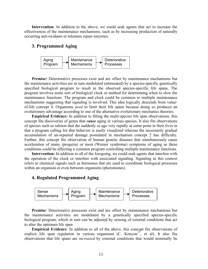**Intervention**: In addition to the above, we could seek agents that act to increase the effectiveness of the maintenance mechanisms, such as by increasing production of naturally occurring anti-oxidants or telomere repair enzymes.

## **3. Programmed Aging**



Premise: Deteriorative processes exist and are offset by maintenance mechanisms but the maintenance activities are in turn modulated (attenuated) by a species-specific genetically specified biological program to result in the observed species-specific life spans. The program involves some sort of biological clock or method for determining when to slow the maintenance functions. The program and clock could be common to multiple maintenance mechanisms suggesting that signaling is involved. This idea logically descends from valueof-life concept 4. Organisms *need* to limit their life spans because doing so produces an evolutionary advantage according to one of the alternative evolutionary mechanics theories.

**Empirical Evidence:** In addition to fitting the multi-species life span observations, this concept fits discoveries of genes that *cause* aging in various species. It also fits observations of species such as salmon that die suddenly or age very rapidly at some point in their lives in that a program calling for that behavior is easily visualized whereas the necessarily gradual accumulation of un-repaired damage postulated in mechanism concept 2 has difficulty. Further, this concept fits observation of human genetic diseases that simultaneously cause acceleration of many (progeria) or most (Werner syndrome) symptoms of aging as these conditions could be affecting a common program controlling multiple maintenance functions.

Intervention: In addition to all of the foregoing, we could seek agents that interfere with the operation of the clock or interfere with associated signaling. Signaling in this context refers to chemical signals such as hormones that are used to coordinate biological processes within an organism or even between organisms (pheromones).

## **4. Regulated Programmed Aging**



**Premise**: Deteriorative processes exist and are offset by maintenance mechanisms but the maintenance activities are modulated by a genetically specified species-specific biological program, which in turn can be adjusted by sensing of external conditions that act to alter the optimum life span.

<span id="page-12-0"></span>**Empirical Evidence**: In addition to all of the above, this concept fits observations of explicit life span regulation in various organisms  $(C.$  Kenyon<sup>[17](#page-31-2)</sup>, et al). It also fits observations that life spans are *increased* by external conditions that would nominally be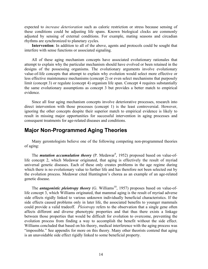<span id="page-13-0"></span>expected to *increase deterioration* such as caloric restriction or stress because sensing of these conditions could be adjusting life spans. Known biological clocks are commonly adjusted by sensing of external conditions. For example, mating seasons and circadian rhythms are synchronized to planetary cycles.

**Intervention**: In addition to all of the above, agents and protocols could be sought that interfere with sense functions or associated signaling.

All of these aging mechanism concepts have associated evolutionary rationales that attempt to explain why the particular mechanism should have evolved or been retained in the designs of the possessing organisms. The evolutionary arguments involve evolutionary value-of-life concepts that attempt to explain why evolution would select more effective or less effective maintenance mechanisms (concept 2) or even select mechanisms that purposely limit (concept 3) or regulate (concept 4) organism life span. Concept 4 requires substantially the same evolutionary assumptions as concept 3 but provides a better match to empirical evidence.

Since all four aging mechanism concepts involve deteriorative processes, research into direct intervention with those processes (concept 1) is the least controversial. However, ignoring the other concepts despite their superior match to empirical evidence is likely to result in missing major opportunities for successful intervention in aging processes and consequent treatments for age-related diseases and conditions.

# **Major Non-Programmed Aging Theories**

Many gerontologists believe one of the following competing non-programmed theories of aging:

The *mutation accumulation theory* (P. Medawar<sup>[9](#page-8-0)</sup>, 1952) proposed based on value-oflife concept 2, which Medawar originated, that aging is effectively the result of myriad universal genetic diseases. Each of these only creates problems in the age regime during which there is no evolutionary value to further life and has therefore not been selected out by the evolution process. Medawar cited Huntington's chorea as an example of an age-related genetic disease.

The *antagonistic pleiotropy theory* (G. Williams<sup>10</sup>, 1957) proposes based on value-oflife concept 3, which Williams originated, that mammal aging is the result of myriad adverse side effects rigidly linked to various unknown individually beneficial characteristics. If the side effects caused problems only in later life, the associated benefits to younger mammals could provide a valid tradeoff. *Pleiotropy* refers to the observation that a single gene often affects different and diverse phenotypic properties and that thus there exists a linkage between those properties that would be difficult for evolution to overcome, preventing the evolution process from finding a way to accomplish the benefit without the side effect. Williams concluded that based on his theory, medical interference with the aging process was "impossible." See appendix for more on this theory. Many other theorists contend that aging is an unavoidable side effect rigidly linked to some beneficial property.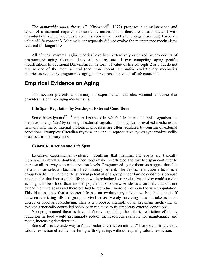<span id="page-14-0"></span>The **disposable soma theory**  $(T.$  Kirkwood<sup>11</sup>, 1977) proposes that maintenance and repair of a mammal requires substantial resources and is therefore a valid tradeoff with reproduction, (which obviously requires substantial food and energy resources) based on value-of-life concept 3. Mammals consequently did not evolve the maintenance mechanisms required for longer life.

All of these mammal aging theories have been extensively criticized by proponents of programmed aging theories. They all require one of two competing aging-specific modifications to traditional Darwinism in the form of value-of-life concepts 2 or 3 but do not require one of the more general (and more recent) alternative evolutionary mechanics theories as needed by programmed aging theories based on value-of-life concept 4.

# **Empirical Evidence on Aging**

This section presents a summary of experimental and observational evidence that provides insight into aging mechanisms.

#### **Life Span Regulation by Sensing of External Conditions**

Some investigators<sup>17, [18](#page-31-2)</sup> report instances in which life span of simple organisms is mediated or *regulated* by sensing of external signals. This is typical of evolved mechanisms. In mammals, major internal biological processes are often regulated by sensing of external conditions. Examples: Circadian rhythms and annual reproductive cycles synchronize bodily processes to planetary cues.

#### **Caloric Restriction and Life Span**

Extensive experimental evidence<sup>[19](#page-31-2)</sup> confirms that mammal life spans are typically *increased*, as much as doubled, when food intake is restricted and that life span continues to increase all the way to semi-starvation levels. Programmed aging theorists suggest that this behavior was selected because of evolutionary benefit. The caloric restriction effect has a group benefit in enhancing the survival potential of a group under famine conditions because a population that increased its life span while reducing its reproductive activity could survive as long with less food than another population of otherwise identical animals that did not extend their life spans and therefore had to reproduce more to maintain the same population. This idea assumes that a shorter life has an evolutionary advantage but that a tradeoff between restricting life and group survival exists. Merely surviving does not take as much energy or food as reproducing. This is a proposed example of an organism modifying an evolved genetically controlled behavior in real time to fit temporary external conditions.

Non-programmed theories have difficulty explaining the caloric restriction effect. A reduction in food would presumably reduce the resources available for maintenance and repair, increasing deterioration.

Some efforts are underway to find a "caloric restriction mimetic" that would simulate the caloric restriction effect by interfering with signaling, without requiring caloric restriction.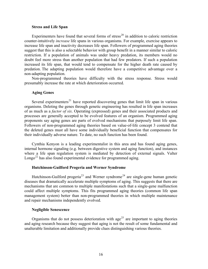#### **Stress and Life Span**

Experimenters have found that several forms of stress<sup>[20](#page-31-2)</sup> in addition to caloric restriction counter-intuitively *increase* life spans in various organisms. For example, exercise appears to increase life span and inactivity decreases life span. Followers of programmed aging theories suggest that this is also a selectable behavior with group benefit in a manner similar to caloric restriction. If a population of animals was under heavy predation, its members would no doubt feel more stress than another population that had few predators. If such a population increased its life span, that would tend to compensate for the higher death rate caused by predation. The adapting population would therefore have a competitive advantage over a non-adapting population.

Non-programmed theories have difficulty with the stress response. Stress would presumably increase the rate at which deterioration occurred.

#### **Aging Genes**

Several experimenters<sup>[21](#page-31-2)</sup> have reported discovering genes that limit life span in various organisms. Deleting the genes through genetic engineering has resulted in life span increases of as much as a *factor of six*. Operating (expressed) genes and their associated products and processes are generally accepted to be evolved features of an organism. Programmed aging proponents say aging genes are parts of evolved mechanisms that purposely limit life span. Followers of non-programmed aging theories based on value-of-life concept 3 contend that the deleted genes must all have some individually beneficial function that compensates for their individually adverse nature. To date, no such function has been found.

Cynthia Kenyon is a leading experimentalist in this area and has found aging genes, internal hormone signaling (e.g. between digestive system and aging function), and instances where a life span regulation system is mediated by detection of external signals. Valter Longo<sup>[22](#page-31-2)</sup> has also found experimental evidence for programmed aging.

#### **Hutchinson-Guilford Progeria and Werner Syndrome**

Hutchinson-Guilford progeria<sup>[23](#page-32-0)</sup> and Werner syndrome<sup>[24](#page-32-0)</sup> are single-gene human genetic diseases that dramatically accelerate multiple symptoms of aging. This suggests that there are mechanisms that are common to multiple manifestations such that a single-gene malfunction could affect multiple symptoms. This fits programmed aging theories (common life span management system) better than non-programmed theories in which multiple maintenance and repair mechanisms independently evolved.

#### **Negligible Senescence**

Organisms that do not possess deterioration with age<sup>[25](#page-32-0)</sup> are important to aging theories and aging research because they suggest that aging is not the result of some fundamental and unalterable limitation and additionally provide clues distinguishing various theories.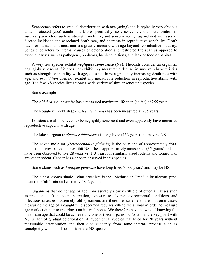Senescence refers to gradual deterioration with age (aging) and is typically very obvious under protected (zoo) conditions. More specifically, senescence refers to deterioration in survival parameters such as strength, mobility, and sensory acuity, age-related increases in disease incidence and associated death rate, and decrease in reproductive capability. Death rates for humans and most animals greatly increase with age beyond reproductive maturity. Senescence refers to internal causes of deterioration and restricted life span as opposed to external causes such as pathogens, predators, harsh conditions, and lack or food or habitat.

A very few species exhibit *negligible senescence* (NS). Theorists consider an organism negligibly senescent if it does not exhibit *any* measurable decline in survival characteristics such as strength or mobility with age, does not have a gradually increasing death rate with age, and *in addition* does not exhibit any measurable reduction in reproductive ability with age. The few NS species live among a wide variety of similar senescing species.

Some examples:

The *Aldebra giant tortoise* has a measured maximum life span (so far) of 255 years.

The Rougheye rockfish (*Sebastes aleutianus*) has been measured at 205 years.

Lobsters are also believed to be negligibly senescent and even apparently have increased reproductive capacity with age.

The lake sturgeon (*Acipenser fulvescens*) is long-lived (152 years) and may be NS.

The naked mole rat (*Heterocephalus glaber*is) is the only one of approximately 5500 mammal species believed to exhibit NS. These approximately mouse-size (35 grams) rodents have been observed to live 28 years vs. 1-3 years for similarly sized rodents and longer than any other rodent. Cancer has *not* been observed in this species.

Some clams such as *Panopea generosa* have long lives (~160 years) and may be NS.

The oldest known single living organism is the "Methuselah Tree", a bristlecone pine, located in California and currently 4842 years old.

Organisms that do not age or age immeasurably slowly still die of external causes such as predator attack, accident, starvation, exposure to adverse environmental conditions, and infectious diseases. Extremely old specimens are therefore extremely rare. In some cases, measuring the age of a caught wild specimen requires killing the animal in order to measure age marks (similar to tree rings) on internal bones. We therefore have no way of knowing the maximum age that could be achieved by one of these organisms. Note that the key point with NS is lack of gradual deterioration. A hypothetical species that lived for 20 years without measurable deterioration and then died suddenly from some internal process such as semelparity would still be considered a NS species.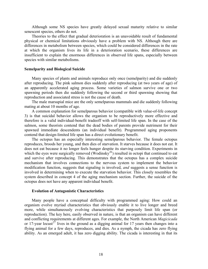Although some NS species have greatly delayed sexual maturity relative to similar senescent species, others do not.

Theories to the effect that gradual deterioration is an unavoidable result of fundamental physical or chemical limitations obviously have a problem with NS. Although there are differences in metabolism between species, which could be considered differences in the rate at which the organism lives its life in a deterioration scenario, these differences are insufficient to explain the enormous differences in observed life spans, especially between species with similar metabolisms.

#### **Semelparity and Biological Suicide**

Many species of plants and animals reproduce only once (semelparity) and die suddenly after reproducing. The pink salmon dies suddenly after reproducing (at two years of age) of an apparently accelerated aging process. Some varieties of salmon survive one or two spawning periods then die suddenly following the second or third spawning showing that reproduction and associated stress is not the cause of death.

The male marsupial mice are the only semelparous mammals and die suddenly following mating at about 10 months of age.

A common explanation for semelparous behavior (compatible with value-of-life concept 3) is that suicidal behavior allows the organism to be reproductively more effective and therefore is a valid individual-benefit tradeoff with self-limited life span. In the case of the salmon, some theorists contend that the dead bodies of parents provide nutriment for their spawned immediate descendents (an individual benefit). Programmed aging proponents contend that design-limited life span has a direct evolutionary benefit.

The octopus has an especially interesting semelparous behavior. The female octopus reproduces, broods her young, and then dies of starvation. It starves because it does not eat. It does not eat because it no longer feels hunger despite its starving condition. Experiments in which the eyes were surgically removed (Wodinsky<sup>[26](#page-32-0)</sup>) resulted in octopi that continued to eat and survive after reproducing. This demonstrates that the octopus has a complex suicide mechanism that involves connections to the nervous system to implement the behavior modification function, suggests that signaling is involved, *and* suggests a sense function is involved in determining when to execute the starvation behavior. This closely resembles the system described in concept 4 of the aging mechanism section. Further, the suicide of the octopus does not have any apparent individual benefit.

#### **Evolution of Antagonistic Characteristics**

Many people have a conceptual difficulty with programmed aging: How could an organism evolve myriad characteristics that obviously enable it to live longer and breed more, while simultaneously evolving characteristics that purposely limit life span (or reproduction). The key here, easily observed in nature, is that an organism can have different and conflicting requirements at different ages. For example, the North American *Magicicada* or 17-year locust<sup>[27](#page-32-0)</sup> lives in the ground as a digging animal for 17 years then changes into a flying animal for a few days, reproduces, and dies. As a nymph, the cicada has zero flying ability. As an emerged adult, it has zero digging ability. The cicada is interesting in that its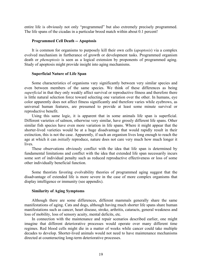entire life is obviously not only "programmed" but also extremely precisely programmed. The life spans of the cicadas in a particular brood match within about 0.1 percent!

#### **Programmed Cell Death -- Apoptosis**

It is common for organisms to purposely kill their own cells (*apoptosis*) via a complex evolved mechanism in furtherance of growth or development tasks. Programmed organism death or *phenoptosis* is seen as a logical extension by proponents of programmed aging. Study of apoptosis might provide insight into aging mechanisms.

#### **Superficial Nature of Life Span**

Some characteristics of organisms vary significantly between very similar species and even between members of the same species. We think of these differences as being *superficial* in that they only weakly affect survival or reproductive fitness and therefore there is little natural selection force toward selecting one variation over the other. In humans, eye color apparently does not affect fitness significantly and therefore varies while eyebrows, as universal human features, are presumed to provide at least some minute survival or reproductive benefit.

Using this same logic, it is apparent that in some animals life span is superficial. Different varieties of salmon, otherwise very similar, have grossly different life spans. Other similar fish species have even more variation in life spans. Where it might appear that the shorter-lived varieties would be at a huge disadvantage that would rapidly result in their extinction, this is not the case. Apparently, if such an organism lives long enough to reach the age at which it can *initially* reproduce, nature does not care very much how much longer it lives.

These observations obviously conflict with the idea that life span is determined by fundamental limitations and conflict with the idea that extended life span necessarily incurs some sort of individual penalty such as reduced reproductive effectiveness or loss of some other individually beneficial function.

Some theorists favoring evolvability theories of programmed aging suggest that the disadvantage of extended life is more severe in the case of more complex organisms that display intelligence or immunity (see appendix).

#### **Similarity of Aging Symptoms**

Although there are some differences, different mammals generally share the same manifestations of aging. Cats and dogs, although having much shorter life spans share human manifestations such as cancer, heart disease, stroke, arthritis, cataracts, general weakness and loss of mobility, loss of sensory acuity, mental deficits, etc.

In connection with the maintenance and repair scenarios described earlier, one might imagine that different deteriorative processes would operate over many different time regimes. Red blood cells might die in a matter of weeks while cancer could take multiple decades to develop. Shorter-lived animals would not need to have maintenance mechanisms directed at counteracting long-term deteriorative processes.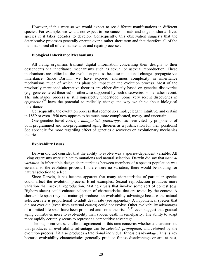However, if this were so we would expect to see different manifestations in different species. For example, we would not expect to see cancer in cats and dogs or shorter-lived species if it takes decades to develop. Consequently, this observation suggests that the deteriorative processes generally operate over a rather short term and that therefore all of the mammals need all of the maintenance and repair processes.

#### **Biological Inheritance Mechanisms**

All living organisms transmit digital information concerning their designs to their descendents via inheritance mechanisms such as sexual or asexual reproduction. These mechanisms are critical to the evolution process because mutational changes propagate via inheritance. Since Darwin, we have exposed enormous complexity in inheritance mechanisms much of which has plausible impact on the evolution process. Most of the previously mentioned alternative theories are either directly based on genetics discoveries (e.g. gene-centered theories) or otherwise supported by such discoveries, some rather recent. The inheritance process is still imperfectly understood. Some very recent discoveries in *epigenetics[28](#page-32-0)* have the potential to radically change the way we think about biological inheritance.

Consequently, the evolution process that seemed so simple, elegant, intuitive, and certain in 1859 or even 1950 now appears to be much more complicated, messy, and uncertain.

One genetics-based concept, *antagonistic pleiotropy*, has been cited by proponents of both programmed and non-programmed aging theories as a justification for their positions! See appendix for more regarding effect of genetics discoveries on evolutionary mechanics theories.

#### **Evolvability Issues**

Darwin did not consider that the ability to evolve was a species-dependent variable. All living organisms were subject to mutations and natural selection. Darwin did say that *natural variation* in inheritable design characteristics between members of a species population was essential to the evolution process. If there were no variation, there would be nothing for natural selection to select.

Since Darwin, it has become apparent that many characteristics of particular species could affect the evolution process. Brief examples: Sexual reproduction produces more variation than asexual reproduction. Mating rituals that involve some sort of contest (e.g. Bighorn sheep) could enhance selection of characteristics that are tested by the contest. A shorter life span (beyond maturity) produces an evolvability advantage because the natural selection rate is proportional to adult death rate (see appendix). A hypothetical species that did not ever die (even from external causes) could not evolve. Other evolvability advantages of a limited life span have been proposed and some theorists<sup>12, [13](#page-9-2)</sup> even suggest that gradual aging contributes more to evolvability than sudden death in semelparity. The ability to adapt more rapidly certainly seems to represent a competitive advantage.

The major current scientific disagreement in this area concerns whether a characteristic that produces an evolvability advantage can be *selected, propagated*, and *retained* by the evolution process if it also produces a traditional individual fitness disadvantage. This is key because evolvability characteristics generally produce fitness disadvantage or are, at best,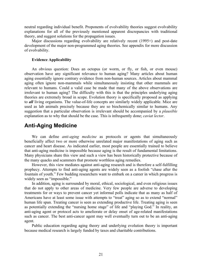<span id="page-20-0"></span>neutral regarding individual benefit. Proponents of evolvability theories suggest evolvability explanations for all of the previously mentioned apparent discrepancies with traditional theory, and suggest solutions for the propagation issues.

Major discussions regarding evolvability are relatively recent (1995+) and post-date development of the major non-programmed aging theories. See appendix for more discussion of evolvability.

#### **Evidence Applicability**

An obvious question: Does an octopus (or worm, or fly, or fish, or even mouse) observation have any significant relevance to human aging? Many articles about human aging essentially ignore contrary evidence from non-human sources. Articles about mammal aging often ignore non-mammals while simultaneously insisting that other mammals are relevant to humans. Could a valid case be made that many of the above observations are irrelevant to human aging? The difficulty with this is that the principles underlying aging theories are extremely broad in scope. Evolution theory is specifically proposed as applying to *all* living organisms. The value-of-life concepts are similarly widely applicable. Mice are used as lab animals precisely because they are so biochemically similar to humans. Any suggestion that a particular observation is irrelevant should be accompanied by a *plausible* explanation as to why that should be the case. This is infrequently done; *caviat lector*.

# **Anti-Aging Medicine**

We can define *anti-aging medicine* as protocols or agents that simultaneously beneficially affect two or more otherwise unrelated major manifestations of aging such as cancer and heart disease. As indicated earlier, most people are essentially trained to believe that anti-aging medicine is impossible because aging is the result of fundamental limitations. Many physicians share this view and such a view has been historically protective because of the many quacks and scammers that promote worthless aging remedies.

However, this view mediates against anti-aging research and is therefore a self-fulfilling prophecy. Attempts to find anti-aging agents are widely seen as a foolish "chase after the fountain of youth." Few budding researchers want to embark on a career in which progress is widely seen as "impossible."

In addition, aging is surrounded by moral, ethical, sociological, and even religious issues that do not apply to other areas of medicine. Very few people are adverse to developing treatments for or ways to prevent cancer yet informal polls indicate that as many as half of Americans have at least some issue with attempts to "treat" aging so as to extend "normal" human life span. Treating cancer is seen as extending productive life. Treating aging is seen as potentially extending the "nursing home stage" of life and "playing God." In reality, an anti-aging agent or protocol acts to ameliorate or delay onset of age-related manifestations such as cancer. The best anti-cancer agent may well eventually turn out to be an anti-aging agent.

Public education regarding aging theory and underlying evolution theory is important because medical research is largely funded by taxes and charitable contributions.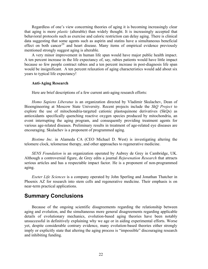<span id="page-21-0"></span>Regardless of one's view concerning theories of aging it is becoming increasingly clear that aging is more *plastic* (alterable) than widely thought. It is increasingly accepted that behavioral protocols such as exercise and caloric restriction can delay aging. There is clinical data suggesting that some agents such as aspirin and statins have a simultaneous beneficial effect on both cancer<sup>[29](#page-32-0)</sup> and heart disease. Many items of empirical evidence previously mentioned strongly suggest aging is alterable.

A very minor improvement in human life span would have major public health impact. A ten percent increase in the life expectancy of, say, rabies patients would have little impact because so few people contract rabies and a ten percent increase in post-diagnosis life span would be insignificant. A ten percent relaxation of aging characteristics would add about six years to typical life expectancy!

#### **Anti-Aging Research**

Here are brief descriptions of a few current anti-aging research efforts:

*Homo Sapiens Liberatus* is an organization directed by Vladimir Skulachev, Dean of Bioengineering at Moscow State University. Recent projects include the *SkQ Project* to explore the use of mitochondria-targeted cationic plastoquinone derivatives (SkQs) as antioxidants specifically quenching reactive oxygen species produced by mitochondria, an event interrupting the aging program, and consequently providing treatment agents for various age-related diseases. Preliminary results in treatment of age-related eye diseases are encouraging. Skulachev is a proponent of programmed aging.

*Biotime Inc.* in Alameda CA (CEO Michael D. West) is investigating altering the telomere clock, telomerase therapy, and other approaches to regenerative medicine.

*SENS Foundation* is an organization operated by Aubrey de Grey in Cambridge, UK. Although a controversial figure, de Grey edits a journal *Rejuvenation Research* that attracts serious articles and has a respectable impact factor. He is a proponent of non-programmed aging.

*Exeter Life Sciences* is a company operated by John Sperling and Jonathan Thatcher in Phoenix AZ for research into stem cells and regenerative medicine. Their emphasis is on near-term practical applications.

## **Summary Conclusions**

Because of the ongoing scientific disagreements regarding the relationship between aging and evolution, and the simultaneous more general disagreements regarding applicable details of evolutionary mechanics, evolution-based aging theories have been notably unsuccessful in definitively explaining why we age or in aiding experimental efforts. Worse yet, despite considerable contrary evidence, many evolution-based theories either strongly imply or explicitly state that altering the aging process is "impossible" discouraging research and inhibiting funding.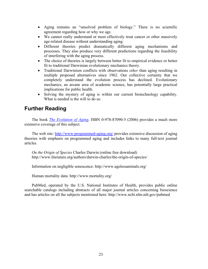- <span id="page-22-0"></span>• Aging remains an "unsolved problem of biology." There is no scientific agreement regarding how or why we age.
- We cannot really understand or most effectively treat cancer or other massively age-related disease without understanding aging.
- Different theories predict dramatically different aging mechanisms and processes. They also produce very different predictions regarding the feasibility of interfering with the aging process.
- The choice of theories is largely between better fit to empirical evidence or better fit to traditional Darwinian evolutionary mechanics theory.
- Traditional Darwinism conflicts with observations *other* than aging resulting in multiple proposed alternatives since 1962. Our collective certainty that we completely understand the evolution process has declined. Evolutionary mechanics, an arcane area of academic science, has potentially large practical implications for public health.
- Solving the mystery of aging is within our current biotechnology capability. What is needed is the will to do so.

# **Further Reading**

The book *[The Evolution of Aging](http://www.amazon.com/exec/obidos/ASIN/0978870905/seekonsearchsyst)*, ISBN 0-978-87090-5 (2006) provides a much more extensive coverage of this subject.

The web site:<http://www.programmed-aging.org/> provides extensive discussion of aging theories with emphasis on programmed aging and includes links to many full-text journal articles.

*On the Origin of Species* Charles Darwin (online free download) http://www.literature.org/authors/darwin-charles/the-origin-of-species/

Information on negligible senescence: http://www.agelessanimals.org/

Human mortality data: http://www.mortality.org/

PubMed, operated by the U.S. National Institutes of Health, provides public online searchable catalogs including abstracts of all major journal articles concerning bioscience and has articles on all the subjects mentioned here: http://www.ncbi.nlm.nih.gov/pubmed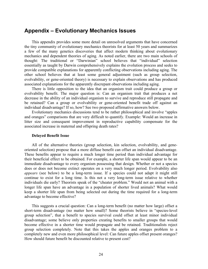## <span id="page-23-0"></span>**Appendix – Evolutionary Mechanics Issues**

This appendix provides some more detail on unresolved arguments that have concerned the tiny community of evolutionary mechanics theorists for at least 50 years and summarizes a few of the many genetics discoveries that affect modern thinking about evolutionary mechanics and dependent theories of aging. As noted earlier, there are two main schools of thought: The traditional or "Darwinian" school believes that "individual" selection essentially as taught by Darwin comprehensively explains the evolution process and seeks to provide compatible explanations for apparently conflicting observations including aging. The other school believes that at least some general adjustment (such as group selection, evolvability, or gene-oriented theory) is necessary to explain observations and has produced associated explanations for the apparently discrepant observations including aging.

There is little opposition to the idea that an organism trait could produce a group or evolvability benefit. The major question is: Can an organism trait that produces a net decrease in the ability of an individual organism to survive and reproduce still propagate and be retained? Can a group or evolvability or gene-oriented benefit trade off against an individual disadvantage? If so, how? See two proposed affirmative answers below.

Evolutionary mechanics discussions tend to be rather philosophical and involve "apples and oranges" comparisons that are very difficult to quantify. Example: Would an increase in litter size and consequent improvement in reproductive capability compensate for the associated increase in maternal and offspring death rates?

#### **Delayed Benefit Issue**

All of the alternative theories (group selection, kin selection, evolvability, and geneoriented selection) propose that a more diffuse benefit can offset an individual disadvantage. These benefits appear to require a much longer time period than individual advantage for their beneficial effect to be obtained. For example, a shorter life span would appear to be an immediate disadvantage to every organism possessing that design. Whether or not a species does or does not become extinct operates on a very much longer period. Evolvability also *appears* (see below) to be a long-term issue. If a species could not adapt it might still continue to exist for a long time. Is this not a very long-term issue relative to whether individuals die early? Theorists speak of the "cheater problem." Would not an animal with a longer life span have an advantage in a population of shorter lived animals? What would keep a shorter life span from being selected out during the time required for a long-term advantage to become effective?

This suggests a crucial question: Can a long-term benefit (no matter how large) offset a short-term disadvantage (no matter how small)? Some theorists believe in "species-level group selection", that a benefit to species survival could offset at least minor individual disadvantage; some believe only properties creating benefits to smaller groups that would become effective in a shorter time would propagate and be retained. Traditionalists reject group selection completely. Note that this takes the apples and oranges problem to a completely new and even more philosophical level: Can future apples offset present oranges? How should future benefit be discounted relative to present cost?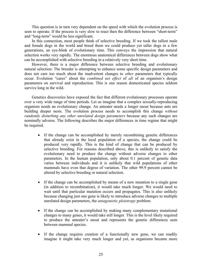This question is in turn very dependent on the speed with which the evolution process is seen to operate. If the process is very slow to react then the difference between "short-term" and "long-term" would be less significant.

In this connection, most people think of selective breeding. If we took the tallest male and female dogs in the world and breed them we could produce yet taller dogs in a few generations, an eye-blink of evolutionary time. This conveys the impression that natural selection works very rapidly. The enormous anatomical differences between dogs show what can be accomplished with selective breeding in a relatively very short time.

However, there is a major difference between selective breeding and evolutionary natural selection: The breeder is attempting to enhance some specific design parameters and does not care too much about the inadvertent changes to *other* parameters that typically occur. Evolution "cares" about the *combined net effect* of *all* of an organism's design parameters on survival and reproduction. This is one reason domesticated species seldom survive long in the wild.

Genetics discoveries have exposed the fact that different evolutionary processes operate over a very wide range of time periods. Let us imagine that a complex sexually-reproducing organism needs an evolutionary change. An anteater needs a longer snout because ants are building deeper nests. The evolution process needs to accomplish this change *without randomly disturbing any other unrelated design parameters* because any such changes are nominally adverse. The following describes the major differences in time regime that might be required.

- If the change can be accomplished by merely recombining genetic differences that already exist in the local population of a species, the change could be produced very rapidly. This is the kind of change that can be produced by selective breeding. For reasons described above, this is unlikely to satisfy the evolutionary need to produce the change without adverse changes to other parameters. In the human population, only about 0.1 percent of genetic data varies between individuals and it is unlikely that wild populations of other mammals have even that degree of variation. The other 99.9 percent cannot be altered by selective breeding or natural selection.
- If the change can be accomplished by means of a new mutation to a single gene (in addition to recombination), it would take much longer. We would need to wait until that particular mutation occurs and propagates. This is also unlikely because changing just one gene is likely to introduce adverse changes to multiple unrelated design parameters, the *antagonistic pleiotropy* problem.
- If the change can be accomplished by making many complementary mutational changes to many genes, it would take still longer. This is the level likely required to produce the anteater's snout and represents the genetic differences seen between mammal species.
- If the change requires creation of a functionally new gene, we can readily imagine it might take very much longer and yet, as organisms became more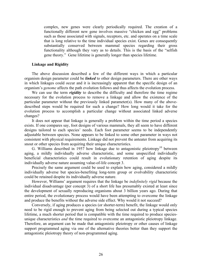complex, new genes were clearly periodically required. The creation of a functionally different new gene involves massive "chicken and egg" problems such as those associated with signals, receptors, etc. and operates on a time scale that is long relative to the time individual species exist. Genes are consequently substantially conserved between mammal species regarding their gross functionality although they vary as to details. This is the basis of the "selfish gene theory." Gene lifetime is generally longer than species lifetime.

#### **Linkage and Rigidity**

The above discussion described a few of the different ways in which a particular organism design parameter could be *linked* to other design parameters. There are other ways in which linkages could occur and it is increasingly apparent that the specific design of an organism's *genome* affects the path evolution follows and thus affects the evolution process.

We can use the term *rigidity* to describe the difficulty and therefore the time regime necessary for the evolution process to remove a linkage and allow the existence of the particular parameter without the previously linked parameter(s). How many of the abovedescribed steps would be required for such a change? How long would it take for the evolution process to accomplish a particular change without associated linked adverse changes?

It does not appear that linkage is generally a problem within the time period a species exists. If one compares say, foot designs of various mammals, they all seem to have different designs tailored to each species' needs. Each foot parameter seems to be independently adjustable between species. None appears to be linked to some other parameter in ways not consistent with physical requirements. Linkage did not prevent the anteater from acquiring its snout or other species from acquiring their unique characteristics.

G. Williams described in 1957 how linkage due to antagonistic pleiotropy<sup>10</sup> between aging, a mildly individually adverse characteristic, and some unspecified individually beneficial characteristics could result in evolutionary retention of aging despite its individually adverse nature assuming value-of-life concept 3.

Precisely the same argument could be used to explain how aging, considered a mildly individually adverse but species-benefiting long-term group or evolvability characteristic could be retained despite its individually adverse nature.

However, Williams' argument requires that the linkage be *indefinitely rigid* because the individual disadvantage (per concept 3) of a short life has presumably existed at least since the development of sexually reproducing organisms about 3 billion years ago. During that entire period, the evolutionary process would have been attempting to overcome the linkage and produce the benefits without the adverse side effect. Why would it not succeed?

Conversely, if aging produces a species (or shorter-term) benefit, the linkage would only need to be rigid enough to prevent aging from being selected out during a typical species lifetime, a much shorter period that is compatible with the time required to produce speciesunique characteristics *and* the time required to overcome an antagonistic pleiotropy linkage. Therefore, an argument can be made that antagonistic pleiotropy or other causes of linkage support programmed aging via one of the alternative theories better than they support the antagonistic pleiotropy theory of non-programmed aging.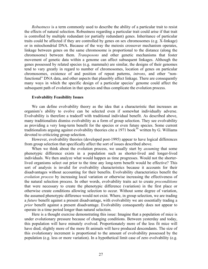*Robustness* is a term commonly used to describe the ability of a particular trait to resist the effects of natural selection. Robustness regarding a particular trait could arise if that trait is controlled by multiple redundant (or partially redundant) genes. Inheritance of particular traits could be affected if they are controlled by genes on sex chromosomes (e.g. X-linkage) or in mitochondrial DNA. Because of the way the meiosis crossover mechanism operates, linkage between genes on the same chromosome is proportional to the distance (along the chromosome) between them. *Transposons* and other genetic mechanisms that foster movement of genetic data within a genome can affect subsequent linkages. Although the genes possessed by related species (e.g. mammals) are similar, the designs of their genomes tend to vary greatly in regard to number of chromosomes, location of genes on particular chromosomes, existence of and position of repeat patterns, *introns*, and other "nonfunctional" DNA data, and other aspects that plausibly affect linkage. There are consequently many ways in which the specific design of a particular species' genome could affect the subsequent path of evolution in that species and thus complicate the evolution process.

#### **Evolvability Feasibility Issues**

We can define evolvability theory as the idea that a characteristic that increases an organism's ability to evolve can be selected even if somewhat individually adverse. Evolvability is therefore a tradeoff with traditional individual benefit. As described above, many traditionalists dismiss evolvability as a form of group selection. They see evolvability as providing a very long-term benefit for the species or even future species. Some current traditionalists arguing against evolvability theories cite a 1971 book<sup>[30](#page-32-0)</sup> written by G. Williams devoted to criticizing group selection.

However, evolvability theories (developed post-1995) appear to have logical differences from group selection that specifically affect the sort of issues described above.

When we think about the evolution process, we usually start by *assuming* that some phenotypic difference exists in a population such as shorter-lived and longer-lived individuals. We then analyze what would happen as time progresses. Would not the shorterlived organisms select out prior to the time any long-term benefit would be effective? This sort of analysis is invalid for evolvability characteristics because it accounts for their disadvantages without accounting for their benefits. Evolvability characteristics benefit the *evolution process* by increasing local variation or otherwise increasing the effectiveness of the natural selection process. In other words, evolvability traits act to create *preconditions* that were necessary to create the phenotypic difference (variation) in the first place or otherwise create conditions allowing selection to occur. Without some degree of variation, the assumed phenotypic difference would not exist. Where, in group selection, we are trading a *future* benefit against a present disadvantage, with evolvability we are essentially trading a *prior* benefit against a present disadvantage. Evolvability consequently does not appear to operate in a time period longer than natural selection.

Here is a thought exercise demonstrating this issue: Imagine that a population of mice is under evolutionary pressure because of changing conditions. Between yesterday and today, this population will have minutely evolved. Proportionately more of the less fit mice will have died; slightly more of the more fit animals will have produced descendants. The size of this evolutionary increment is proportional to the amount of evolvability possessed by the population (e.g. less or more variation). In a hypothetical limit case of zero evolvability (e.g.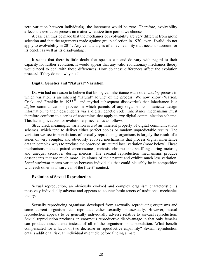zero variation between individuals), the increment would be zero. Therefore, evolvability affects the evolution process no matter what size time period we choose.

A case can thus be made that the mechanics of evolvability are very different from group selection and that the arguments made against group selection in 1970, even if valid, do not apply to evolvability in 2011. Any valid analysis of an evolvability trait needs to account for its benefit as well as its disadvantage.

It seems that there is little doubt that species can and do vary with regard to their capacity for further evolution. It would appear that any valid evolutionary mechanics theory would need to deal with these differences. How do these differences affect the evolution process? If they do not, why not?

#### **Digital Genetics and "Natural" Variation**

Darwin had no reason to believe that biological inheritance was not an *analog* process in which variation is an inherent "natural" adjunct of the process. We now know (Watson, Crick, and Franklin in  $1953^{31}$  $1953^{31}$  $1953^{31}$ , and myriad subsequent discoveries) that inheritance is a *digital* communications process in which parents of any organism communicate design information to their descendents via a digital genetic code. Inheritance mechanisms must therefore conform to a series of constraints that apply to *any* digital communication scheme. This has implications for evolutionary mechanics as follows:

Structured, meaningful variation is *not* an inherent property of digital communications schemes, which tend to deliver either perfect copies or random unpredictable results. The variation we see in populations of sexually reproducing organisms is largely the result of a series of very complex and obviously evolved mechanisms that process digital inheritance data in complex ways to produce the observed structured local variation (more below). These mechanisms include paired chromosomes, meiosis, chromosome shuffling during meiosis, and unequal crossover during meiosis. The asexual reproduction mechanisms produce descendants that are much more like clones of their parent and exhibit much less variation. *Local variation* means variation between individuals that could plausibly be in competition with each other in a "survival of the fittest" context.

#### **Evolution of Sexual Reproduction**

Sexual reproduction, an obviously evolved and complex organism characteristic, is massively individually adverse and appears to counter basic tenets of traditional mechanics theory.

Sexually reproducing organisms developed from asexually reproducing organisms and some current organisms can reproduce either sexually or asexually. However, sexual reproduction appears to be generally individually adverse relative to asexual reproduction: Sexual reproduction produces an enormous reproductive disadvantage in that only females can produce descendants instead of all of the organisms in a population. What benefit compensated for a factor-of-two decrease in reproductive capability? Sexual reproduction entails additional risk; an individual might die before finding a mate.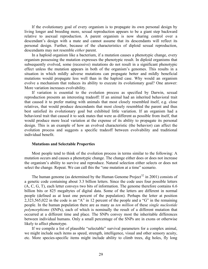If the evolutionary goal of every organism is to propagate its own personal design by living longer and breeding more, sexual reproduction appears to be a giant step backward relative to asexual reproduction. A parent organism is now sharing control over a descendant's design with a mate and cannot assume that its descendants will reflect its personal design. Further, because of the characteristics of diploid sexual reproduction, descendants may not resemble *either* parent.

In a haploid organism like a bacterium, if a mutation causes a phenotypic change, every organism possessing the mutation expresses the phenotypic result. In diploid organisms that subsequently evolved, some (recessive) mutations do not result in a significant phenotypic effect unless the mutation appears in both of the organism's genomes. This results in a situation in which mildly adverse mutations can propagate better and mildly beneficial mutations would propagate less well than in the haploid case. Why would an organism evolve a mechanism that reduces its ability to execute its evolutionary goal? One answer: More variation increases evolvability.

If variation is essential to the evolution process as specified by Darwin, sexual reproduction presents an interesting tradeoff: If an animal had an inherited behavioral trait that caused it to prefer mating with animals that most closely resembled itself, e.g. close relatives, that would produce descendants that most closely resembled the parent and thus best satisfied its evolutionary goal but exhibited little variation. If an organism had a behavioral trait that caused it to seek mates that were as different as possible from itself, that would produce more local variation at the expense of its ability to propagate its personal design. This is an example of how an evolved characteristic (the behavior) can affect the evolution process and suggests a specific tradeoff between evolvability and traditional individual benefit.

#### **Mutations and Selectable Properties**

Most people tend to think of the evolution process in terms similar to the following: A mutation occurs and causes a phenotypic change. The change either does or does not increase the organism's ability to survive and reproduce. Natural selection either selects or does not select the change. Repeat. We can call this the "one mutation at a time" scenario.

The human genome (as determined by the Human Genome Project<sup>[32](#page-32-0)</sup> in 2001) consists of a genetic code containing about 3.3 billion letters. Since the code uses four possible letters (A, C, G, T), each letter conveys two bits of information. The genome therefore contains 6.6 billion bits or 825 megabytes of digital data. Some of the letters are different in normal people (defined as at least one percent of the population). Perhaps the letter at position 2,323,565,022 in the code is an "A" in 12 percent of the people and a "G" in the remaining people. In the human population there are as many as *ten million* of these *single nucleotide polymorphisms* (SNPs), each of which is nominally the result of a different mutation that occurred at a different time and place. The SNPs convey most the inheritable differences between individual humans. Only a small percentage of the SNPs are in exons or otherwise likely to affect phenotype.

If we compile a list of plausible "selectable" survival parameters for a complex animal, we might include such items as speed, strength, intelligence, visual and other sensory acuity, etc. More species-specific items might include ability to climb trees, dig holes, fly long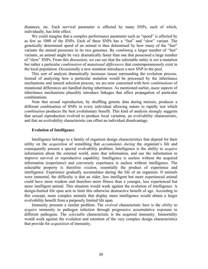distances, etc. Each survival parameter is affected by many SNPs, each of which, individually, has little effect.

We could imagine that a complex performance parameter such as "speed" is affected by as few as 1000 of the SNPs. Each of these SNPs has a "fast" and "slow" variant. The genetically determined speed of an animal is thus determined by how many of the "fast" variants the animal possesses in its two genomes. By *combining* a larger number of "fast" variants, an animal might be very dramatically faster than one that possessed a large number of "slow" SNPs. From this discussion, we can see that the selectable entity is *not* a mutation but rather a particular *combination* of *mutational differences* that contemporaneously exist in the local population. Occasionally a new mutation introduces a new SNP to the pool.

This sort of analysis dramatically increases issues surrounding the evolution process. Instead of analyzing how a particular mutation would be processed by the inheritance mechanisms and natural selection process, we are now concerned with how *combinations* of mutational differences are handled during inheritance. As mentioned earlier, *many* aspects of inheritance mechanisms plausibly introduce linkages that affect propagation of particular combinations.

Note that sexual reproduction, by shuffling genetic data during meiosis, produces a different combination of SNPs in every individual allowing nature to rapidly test which *combination* produces the best evolutionary benefit. This kind of analysis strongly suggests that sexual reproduction evolved to produce local variation, an evolvability characteristic, and that an evolvability characteristic can offset an individual disadvantage.

#### **Evolution of Intelligence**

Intelligence belongs to a family of organism design characteristics that depend for their utility on the *acquisition* of something that *accumulates during* the organism's life and consequently present a special evolvability problem. Intelligence is the ability to *acquire* information about the external world, store that information, and use the information to improve survival or reproductive capability. Intelligence is useless without the acquired information (experience) and conversely experience is useless without intelligence. The selectable property is therefore *wisdom*, essentially the product of experience and intelligence. Experience gradually accumulates during the life of an organism. If animals were immortal, the difficulty is that an older, less intelligent but more experienced animal could have more wisdom and therefore more fitness than a younger, less experienced but more intelligent animal. This situation would work against the evolution of intelligence. A design-limited life span acts to limit this otherwise destructive benefit of age. According to this concept, more complex animals that display more intelligence would obtain a larger evolvability benefit from a purposely limited life span.

Immunity presents a similar problem. The *evolved* characteristic here is the *ability* to *acquire* immunity to pathogen infection through progressive accumulative exposure to different pathogens. The *selectable* characteristic is the acquired immunity. Immortality would work against the evolution and retention of the very complex design characteristics that provide for *acquisition* of immunity.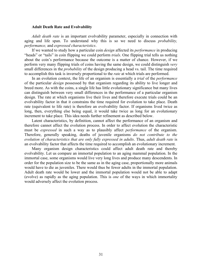#### **Adult Death Rate and Evolvability**

*Adult death rate* is an important evolvability parameter, especially in connection with aging and life span. To understand why this is so we need to discuss *probability, performance,* and *expressed characteristics*.

If we wanted to study how a particular coin *design* affected its *performance* in producing "heads" or "tails" in coin flipping we could perform *trials*. One flipping trial tells us nothing about the coin's performance because the outcome is a matter of chance. However, if we perform very many flipping trials of coins having the same design, we could distinguish *very* small differences in the *probability* of the design producing a head vs. tail. The time required to accomplish this task is inversely proportional to the *rate* at which trials are performed.

In an evolution context, the life of an organism is essentially a *trial* of the *performance* of the particular *design* possessed by that organism regarding its ability to live longer and breed more. As with the coins, a single life has little evolutionary significance but many lives can distinguish between very small differences in the performance of a particular organism design. The rate at which organisms live their lives and therefore execute trials could be an evolvability factor in that it constrains the time required for evolution to take place. Death rate (equivalent to life rate) is therefore an evolvability factor. If organisms lived twice as long, then, everything else being equal, it would take twice as long for an evolutionary increment to take place. This idea needs further refinement as described below.

Latent characteristics, by definition, cannot affect the performance of an organism and therefore cannot affect the evolution process. In order to affect evolution the characteristic must be *expressed* in such a way as to plausibly affect *performance* of the organism. Therefore, generally speaking, deaths of juvenile organisms *do not contribute to the evolution of characteristics that are only fully expressed in adults*. Thus, *adult death rate* is an evolvability factor that affects the time required to accomplish an evolutionary increment.

Many organism design characteristics could affect adult death rate and thereby evolvability. Let us compare an immortal population to an aging mammal population. In the immortal case, some organisms would live very long lives and produce many descendents. In order for the population size to be the same as in the aging case, proportionally more animals would have to die as juveniles. There would thus be fewer adults in the immortal population. Adult death rate would be lower and the immortal population would not be able to adapt (evolve) as rapidly as the aging population. This is *one* of the ways in which immortality would adversely affect the evolution process.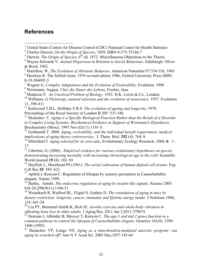# <span id="page-31-2"></span><span id="page-31-0"></span>**References**

<span id="page-31-1"></span>1 United States Centers for Disease Control (CDC) National Center for Health Statistics

 $3$  Darwin. *The Origin of Species*,  $6<sup>th</sup>$  ed. 1872. Miscellaneous Objections to the Theory

5 Hamilton, W, *The Evolution of Altruistic Behavior*, American Naturalist 97:354-356, 1963

6 Dawkins R. The Selfish Gene, 1976 revised edition 1986, Oxford University Press ISBN: 0-19-286092-5

7 Wagner G. *Complex Adaptations and the Evolution of Evolvability*. Evolution. 1996 8 Weismann, August, *Uber die Dauer des Lebens*, Fischer, Jena

9 Medawar P. *An Unsolved Problem of Biology*. 1952. H.K. Lewis & Co., London.

10 Williams, G *Pleiotropy, natural selection and the evolution of senescence*. 1957. Evolution 11, 398-411

11 Kirkwood T.B.L, Holliday F.R.S. *The evolution of ageing and longevity*, 1979.

Proceedings of the Royal Society of London B 205: 531-546

<sup>12</sup> Skulachev V. *Aging is a Specific Biological Function Rather than the Result of a Disorder in Complex Living Systems: Biochemical Evidence in Support of Weismann's Hypothesis.* Biochemistry (Mosc). 1997 Nov;62(11):1191-5.

13 Goldsmith T. 2008. *Aging, evolvability, and the individual benefit requirement; medical implications of aging theory controversies*. J. Theor. Biol. **252** (4): 764–8

14 Mitteldorf J. *Aging selected for its own sake*, Evolutionary Ecology Research, 2004, **6**: 1- 17

15 Libertini, G. (2008). *Empirical evidence for various evolutionary hypotheses on species demonstrating increasing mortality with increasing chronological age in the wild*. Scientific World Journal **19** (8): 182–93

16 Hayflick L, Moorhead PS (1961). *The serial cultivation of human diploid cell strains*. Exp Cell Res **25**: 585–621.

 $17$  Apfeld J, Kenyon C. Regulation of lifespan by sensory perception in Caenorhabditis elegans. Nature 1999.

18 Bartke, Antebi. *The endocrine regulation of aging by insulin-like signals*, Science 2003 Feb 28;299(5611):1346-51

19 Weindruch R, Walford RL, Fligiel S, Guthrie D. *The retardation of aging in mice by dietary restriction: longevity, cancer, immunity and lifetime energy intake*. J Nutrition 1986; 116: 641-54

20 Liu PY, Brummel-Smith K, Ilich JZ. *Aerobic exercise and whole-body vibration in offsetting bone loss in older adults*. J Aging Res. 2011 Jan 3;2011:379674.

21 Dorman J, Albinder B, Shroyer T, Kenyon C. *The age-1 and daf-2 genes function in a common pathway to control the lifespan of Caenorhabditis elegans*. Genetics 141(4), 1399- 1406 (1995)

22 Skulachev VP, Longo VD. *Aging as a mitochondria-mediated atavistic program: can aging be switched off?* Ann N Y Acad Sci. 2005 Dec;1057:145-64

<sup>2</sup> Charles Darwin, *On the Origin of Species*, 1859, ISBN 0-375-75146-7

<sup>4</sup> Wayne-Edwards V. *Animal Dispersion in Relation to Social Behaviour*, Edinburgh: Oliver & Boyd, 1962